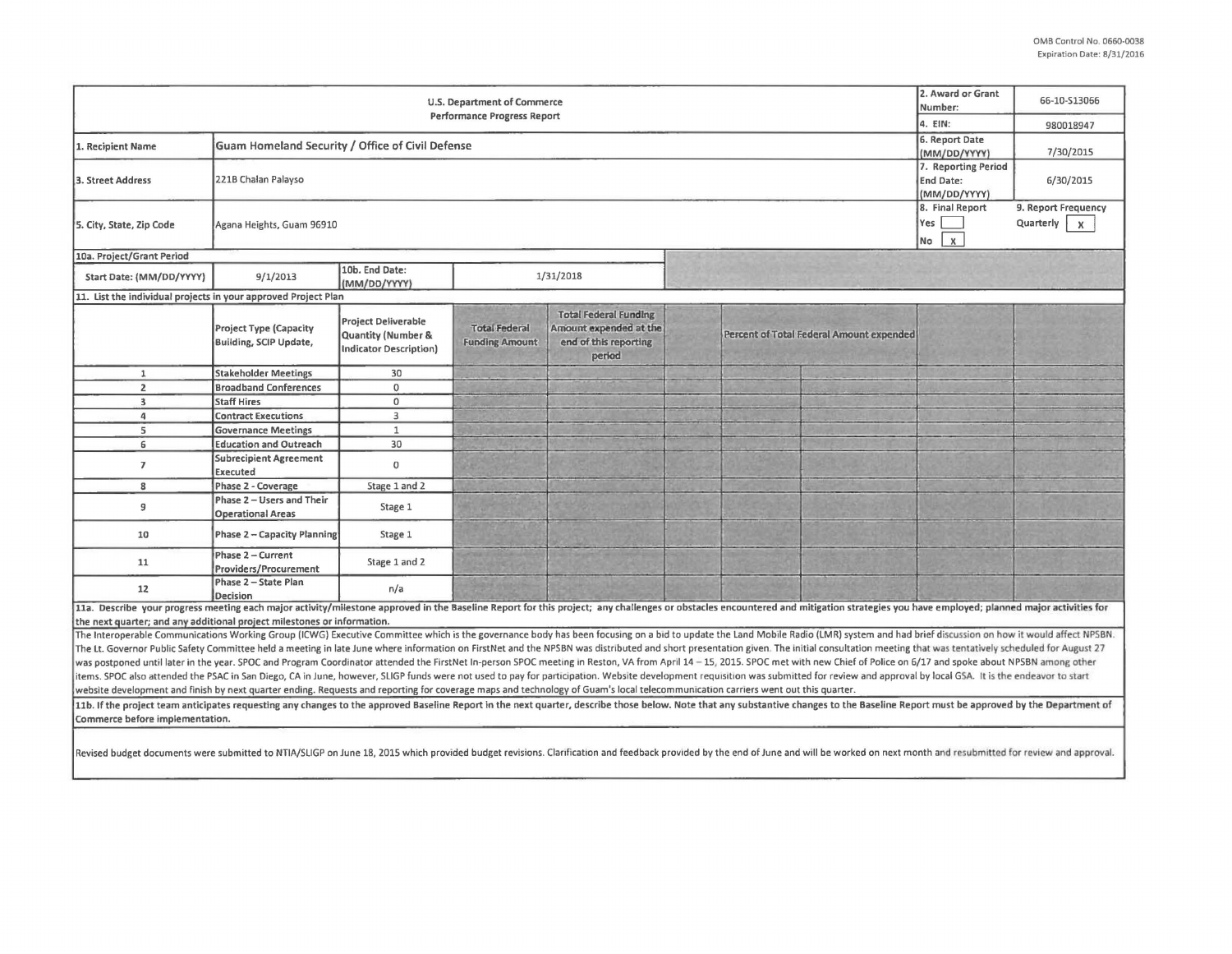| U.S. Department of Commerce<br><b>Performance Progress Report</b>                                                                                                                                                                                                 |                                                         |                                                                                       |                                                  |                                                                                           |  |                                          |  | 66-10-S13066 |  |
|-------------------------------------------------------------------------------------------------------------------------------------------------------------------------------------------------------------------------------------------------------------------|---------------------------------------------------------|---------------------------------------------------------------------------------------|--------------------------------------------------|-------------------------------------------------------------------------------------------|--|------------------------------------------|--|--------------|--|
|                                                                                                                                                                                                                                                                   | 4. EIN:                                                 | 980018947                                                                             |                                                  |                                                                                           |  |                                          |  |              |  |
| 1. Recipient Name                                                                                                                                                                                                                                                 | Guam Homeland Security / Office of Civil Defense        | 6. Report Date<br>(MM/DD/YYYY)                                                        | 7/30/2015                                        |                                                                                           |  |                                          |  |              |  |
| 3. Street Address                                                                                                                                                                                                                                                 | 221B Chalan Palayso                                     | 7. Reporting Period<br>End Date:<br>(MM/DD/YYYY)                                      | 6/30/2015                                        |                                                                                           |  |                                          |  |              |  |
| 5. City, State, Zip Code                                                                                                                                                                                                                                          | Agana Heights, Guam 96910                               | 8. Final Report<br>Yes<br>$\pmb{\times}$<br>No                                        | 9. Report Frequency<br>Quarterly<br>$\mathsf{X}$ |                                                                                           |  |                                          |  |              |  |
| 10a. Project/Grant Period                                                                                                                                                                                                                                         |                                                         |                                                                                       |                                                  |                                                                                           |  |                                          |  |              |  |
| Start Date: (MM/DD/YYYY)                                                                                                                                                                                                                                          | 9/1/2013                                                | 10b. End Date:<br>(MM/DD/YYYY)                                                        | 1/31/2018                                        |                                                                                           |  |                                          |  |              |  |
| 11. List the individual projects in your approved Project Plan                                                                                                                                                                                                    |                                                         |                                                                                       |                                                  |                                                                                           |  |                                          |  |              |  |
|                                                                                                                                                                                                                                                                   | <b>Project Type (Capacity</b><br>Building, SCIP Update, | <b>Project Deliverable</b><br><b>Quantity (Number &amp;</b><br>Indicator Description) | <b>Total Federal</b><br><b>Funding Amount</b>    | <b>Total Federal Funding</b><br>Amount expended at the<br>end of this reporting<br>period |  | Percent of Total Federal Amount expended |  |              |  |
| $\mathbf{1}$                                                                                                                                                                                                                                                      | <b>Stakeholder Meetings</b>                             | 30                                                                                    |                                                  |                                                                                           |  |                                          |  |              |  |
| $\overline{2}$                                                                                                                                                                                                                                                    | <b>Broadband Conferences</b>                            | $\mathbf 0$                                                                           |                                                  |                                                                                           |  |                                          |  |              |  |
| $\overline{\mathbf{3}}$                                                                                                                                                                                                                                           | <b>Staff Hires</b>                                      | $\Omega$                                                                              |                                                  |                                                                                           |  |                                          |  |              |  |
| 4                                                                                                                                                                                                                                                                 | <b>Contract Executions</b>                              | 3                                                                                     |                                                  |                                                                                           |  |                                          |  |              |  |
| 5                                                                                                                                                                                                                                                                 | <b>Governance Meetings</b>                              | $\mathbf{1}$                                                                          |                                                  |                                                                                           |  |                                          |  |              |  |
| 6                                                                                                                                                                                                                                                                 | <b>Education and Outreach</b>                           | 30                                                                                    |                                                  |                                                                                           |  |                                          |  |              |  |
| $\overline{ }$                                                                                                                                                                                                                                                    | <b>Subrecipient Agreement</b><br><b>Executed</b>        | $\mathbf 0$                                                                           |                                                  |                                                                                           |  |                                          |  |              |  |
| 8                                                                                                                                                                                                                                                                 | Phase 2 - Coverage                                      | Stage 1 and 2                                                                         |                                                  |                                                                                           |  |                                          |  |              |  |
| 9                                                                                                                                                                                                                                                                 | Phase 2 - Users and Their<br><b>Operational Areas</b>   | Stage 1                                                                               |                                                  |                                                                                           |  |                                          |  |              |  |
| 10                                                                                                                                                                                                                                                                | Phase 2 - Capacity Planning                             | Stage 1                                                                               |                                                  |                                                                                           |  |                                          |  |              |  |
| 11                                                                                                                                                                                                                                                                | Phase 2 - Current<br><b>Providers/Procurement</b>       | Stage 1 and 2                                                                         |                                                  |                                                                                           |  |                                          |  |              |  |
| 12                                                                                                                                                                                                                                                                | Phase 2 - State Plan<br><b>Decision</b>                 | n/a                                                                                   |                                                  |                                                                                           |  |                                          |  |              |  |
| 11a. Describe your progress meeting each major activity/milestone approved in the Baseline Report for this project; any challenges or obstacles encountered and mitigation strategies you have employed; planned major activit                                    |                                                         |                                                                                       |                                                  |                                                                                           |  |                                          |  |              |  |
| the next quarter; and any additional project milestones or information.                                                                                                                                                                                           |                                                         |                                                                                       |                                                  |                                                                                           |  |                                          |  |              |  |
| The Interoperable Communications Working Group (ICWG) Executive Committee which is the governance body has been focusing on a bid to update the Land Mobile Radio (LMR) system and had brief discussion on how it would affect                                    |                                                         |                                                                                       |                                                  |                                                                                           |  |                                          |  |              |  |
| The Lt. Governor Public Safety Committee held a meeting in late June where information on FirstNet and the NPSBN was distributed and short presentation given. The initial consultation meeting that was tentatively scheduled                                    |                                                         |                                                                                       |                                                  |                                                                                           |  |                                          |  |              |  |
| was postponed until later in the year. SPOC and Program Coordinator attended the FirstNet In-person SPOC meeting in Reston, VA from April 14 - 15, 2015. SPOC met with new Chief of Police on 6/17 and spoke about NPSBN among                                    |                                                         |                                                                                       |                                                  |                                                                                           |  |                                          |  |              |  |
| items. SPOC also attended the PSAC in San Diego, CA in June, however, SLIGP funds were not used to pay for participation. Website development requisition was submitted for review and approval by local GSA. It is the endeav                                    |                                                         |                                                                                       |                                                  |                                                                                           |  |                                          |  |              |  |
| website development and finish by next quarter ending. Requests and reporting for coverage maps and technology of Guam's local telecommunication carriers went out this quarter.                                                                                  |                                                         |                                                                                       |                                                  |                                                                                           |  |                                          |  |              |  |
| 11b. If the project team anticipates requesting any changes to the approved Baseline Report in the next quarter, describe those below. Note that any substantive changes to the Baseline Report must be approved by the Depart<br>Commerce before implementation. |                                                         |                                                                                       |                                                  |                                                                                           |  |                                          |  |              |  |
| Revised budget documents were submitted to NTIA/SLIGP on June 18, 2015 which provided budget revisions. Clarification and feedback provided by the end of June and will be worked on next month and resubmitted for review and                                    |                                                         |                                                                                       |                                                  |                                                                                           |  |                                          |  |              |  |